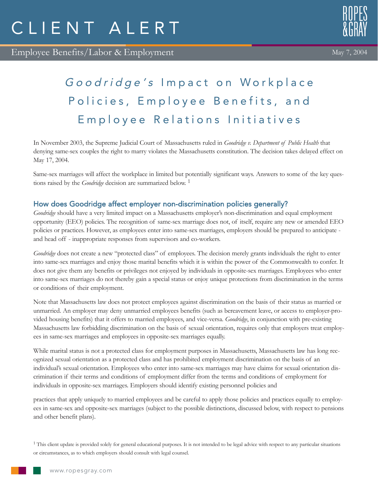Employee Benefits/Labor & Employment



May 7, 2004

# Goodridge's Impact on Workplace Policies, Employee Benefits, and Employee Relations Initiatives

In November 2003, the Supreme Judicial Court of Massachusetts ruled in *Goodridge v. Department of Public Health* that denying same-sex couples the right to marry violates the Massachusetts constitution. The decision takes delayed effect on May 17, 2004.

Same-sex marriages will affect the workplace in limited but potentially significant ways. Answers to some of the key questions raised by the *Goodridge* decision are summarized below. 1

# How does Goodridge affect employer non-discrimination policies generally?

*Goodridge* should have a very limited impact on a Massachusetts employer's non-discrimination and equal employment opportunity (EEO) policies. The recognition of same-sex marriage does not, of itself, require any new or amended EEO policies or practices. However, as employees enter into same-sex marriages, employers should be prepared to anticipate and head off - inappropriate responses from supervisors and co-workers.

*Goodridge* does not create a new "protected class" of employees. The decision merely grants individuals the right to enter into same-sex marriages and enjoy those marital benefits which it is within the power of the Commonwealth to confer. It does not give them any benefits or privileges not enjoyed by individuals in opposite-sex marriages. Employees who enter into same-sex marriages do not thereby gain a special status or enjoy unique protections from discrimination in the terms or conditions of their employment.

Note that Massachusetts law does not protect employees against discrimination on the basis of their status as married or unmarried. An employer may deny unmarried employees benefits (such as bereavement leave, or access to employer-provided housing benefits) that it offers to married employees, and vice-versa. *Goodridge*, in conjunction with pre-existing Massachusetts law forbidding discrimination on the basis of sexual orientation, requires only that employers treat employees in same-sex marriages and employees in opposite-sex marriages equally.

While marital status is not a protected class for employment purposes in Massachusetts, Massachusetts law has long recognized sexual orientation as a protected class and has prohibited employment discrimination on the basis of an individual's sexual orientation. Employees who enter into same-sex marriages may have claims for sexual orientation discrimination if their terms and conditions of employment differ from the terms and conditions of employment for individuals in opposite-sex marriages. Employers should identify existing personnel policies and

practices that apply uniquely to married employees and be careful to apply those policies and practices equally to employees in same-sex and opposite-sex marriages (subject to the possible distinctions, discussed below, with respect to pensions and other benefit plans).

<sup>&</sup>lt;sup>1</sup> This client update is provided solely for general educational purposes. It is not intended to be legal advice with respect to any particular situations or circumstances, as to which employers should consult with legal counsel.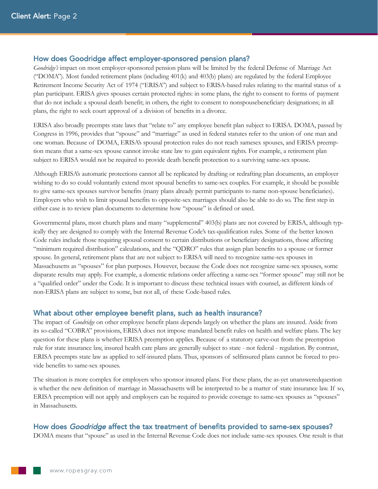## How does Goodridge affect employer-sponsored pension plans?

*Goodridge's* impact on most employer-sponsored pension plans will be limited by the federal Defense of Marriage Act ("DOMA"). Most funded retirement plans (including 401(k) and 403(b) plans) are regulated by the federal Employee Retirement Income Security Act of 1974 ("ERISA") and subject to ERISA-based rules relating to the marital status of a plan participant. ERISA gives spouses certain protected rights: in some plans, the right to consent to forms of payment that do not include a spousal death benefit; in others, the right to consent to nonspousebeneficiary designations; in all plans, the right to seek court approval of a division of benefits in a divorce.

ERISA also broadly preempts state laws that "relate to" any employee benefit plan subject to ERISA. DOMA, passed by Congress in 1996, provides that "spouse" and "marriage" as used in federal statutes refer to the union of one man and one woman. Because of DOMA, ERISA's spousal protection rules do not reach samesex spouses, and ERISA preemption means that a same-sex spouse cannot invoke state law to gain equivalent rights. For example, a retirement plan subject to ERISA would not be required to provide death benefit protection to a surviving same-sex spouse.

Although ERISA's automatic protections cannot all be replicated by drafting or redrafting plan documents, an employer wishing to do so could voluntarily extend most spousal benefits to same-sex couples. For example, it should be possible to give same-sex spouses survivor benefits (many plans already permit participants to name non-spouse beneficiaries). Employers who wish to limit spousal benefits to opposite-sex marriages should also be able to do so. The first step in either case is to review plan documents to determine how "spouse" is defined or used.

Governmental plans, most church plans and many "supplemental" 403(b) plans are not covered by ERISA, although typically they are designed to comply with the Internal Revenue Code's tax-qualification rules. Some of the better known Code rules include those requiring spousal consent to certain distributions or beneficiary designations, those affecting "minimum required distribution" calculations, and the "QDRO" rules that assign plan benefits to a spouse or former spouse. In general, retirement plans that are not subject to ERISA will need to recognize same-sex spouses in Massachusetts as "spouses" for plan purposes. However, because the Code does not recognize same-sex spouses, some disparate results may apply. For example, a domestic relations order affecting a same-sex "former spouse" may still not be a "qualified order" under the Code. It is important to discuss these technical issues with counsel, as different kinds of non-ERISA plans are subject to some, but not all, of these Code-based rules.

## What about other employee benefit plans, such as health insurance?

The impact of *Goodridge* on other employee benefit plans depends largely on whether the plans are insured. Aside from its so-called "COBRA" provisions, ERISA does not impose mandated benefit rules on health and welfare plans. The key question for these plans is whether ERISA preemption applies. Because of a statutory carve-out from the preemption rule for state insurance law, insured health care plans are generally subject to state - not federal - regulation. By contrast, ERISA preempts state law as applied to self-insured plans. Thus, sponsors of selfinsured plans cannot be forced to provide benefits to same-sex spouses.

The situation is more complex for employers who sponsor insured plans. For these plans, the as-yet unansweredquestion is whether the new definition of marriage in Massachusetts will be interpreted to be a matter of state insurance law. If so, ERISA preemption will not apply and employers can be required to provide coverage to same-sex spouses as "spouses" in Massachusetts.

## How does Goodridge affect the tax treatment of benefits provided to same-sex spouses?

DOMA means that "spouse" as used in the Internal Revenue Code does not include same-sex spouses. One result is that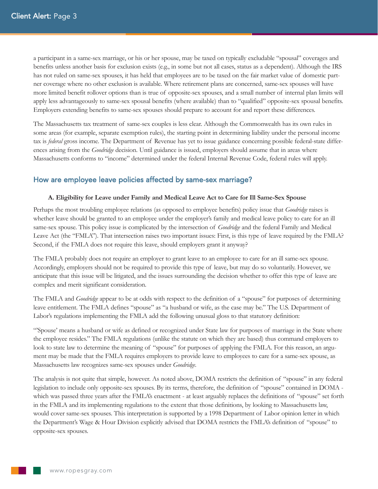a participant in a same-sex marriage, or his or her spouse, may be taxed on typically excludable "spousal" coverages and benefits unless another basis for exclusion exists (e.g., in some but not all cases, status as a dependent). Although the IRS has not ruled on same-sex spouses, it has held that employees are to be taxed on the fair market value of domestic partner coverage where no other exclusion is available. Where retirement plans are concerned, same-sex spouses will have more limited benefit rollover options than is true of opposite-sex spouses, and a small number of internal plan limits will apply less advantageously to same-sex spousal benefits (where available) than to "qualified" opposite-sex spousal benefits. Employers extending benefits to same-sex spouses should prepare to account for and report these differences.

The Massachusetts tax treatment of same-sex couples is less clear. Although the Commonwealth has its own rules in some areas (for example, separate exemption rules), the starting point in determining liability under the personal income tax is *federal* gross income. The Department of Revenue has yet to issue guidance concerning possible federal-state differences arising from the *Goodridge* decision. Until guidance is issued, employers should assume that in areas where Massachusetts conforms to "income" determined under the federal Internal Revenue Code, federal rules will apply.

# How are employee leave policies affected by same-sex marriage?

#### **A. Eligibility for Leave under Family and Medical Leave Act to Care for Ill Same-Sex Spouse**

Perhaps the most troubling employee relations (as opposed to employee benefits) policy issue that *Goodridge* raises is whether leave should be granted to an employee under the employer's family and medical leave policy to care for an ill same-sex spouse. This policy issue is complicated by the intersection of *Goodridge* and the federal Family and Medical Leave Act (the "FMLA"). That intersection raises two important issues: First, is this type of leave required by the FMLA? Second, if the FMLA does not require this leave, should employers grant it anyway?

The FMLA probably does not require an employer to grant leave to an employee to care for an ill same-sex spouse. Accordingly, employers should not be required to provide this type of leave, but may do so voluntarily. However, we anticipate that this issue will be litigated, and the issues surrounding the decision whether to offer this type of leave are complex and merit significant consideration.

The FMLA and *Goodridge* appear to be at odds with respect to the definition of a "spouse" for purposes of determining leave entitlement. The FMLA defines "spouse" as "a husband or wife, as the case may be." The U.S. Department of Labor's regulations implementing the FMLA add the following unusual gloss to that statutory definition:

"'Spouse' means a husband or wife as defined or recognized under State law for purposes of marriage in the State where the employee resides." The FMLA regulations (unlike the statute on which they are based) thus command employers to look to state law to determine the meaning of "spouse" for purposes of applying the FMLA. For this reason, an argument may be made that the FMLA requires employers to provide leave to employees to care for a same-sex spouse, as Massachusetts law recognizes same-sex spouses under *Goodridge*.

The analysis is not quite that simple, however. As noted above, DOMA restricts the definition of "spouse" in any federal legislation to include only opposite-sex spouses. By its terms, therefore, the definition of "spouse" contained in DOMA which was passed three years after the FMLA's enactment - at least arguably replaces the definitions of "spouse" set forth in the FMLA and its implementing regulations to the extent that those definitions, by looking to Massachusetts law, would cover same-sex spouses. This interpretation is supported by a 1998 Department of Labor opinion letter in which the Department's Wage & Hour Division explicitly advised that DOMA restricts the FMLA's definition of "spouse" to opposite-sex spouses.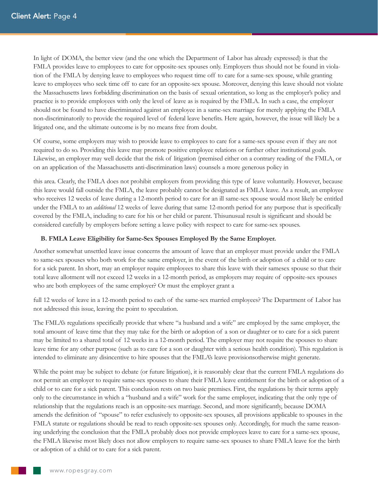In light of DOMA, the better view (and the one which the Department of Labor has already expressed) is that the FMLA provides leave to employees to care for opposite-sex spouses only. Employers thus should not be found in violation of the FMLA by denying leave to employees who request time off to care for a same-sex spouse, while granting leave to employees who seek time off to care for an opposite-sex spouse. Moreover, denying this leave should not violate the Massachusetts laws forbidding discrimination on the basis of sexual orientation, so long as the employer's policy and practice is to provide employees with only the level of leave as is required by the FMLA. In such a case, the employer should not be found to have discriminated against an employee in a same-sex marriage for merely applying the FMLA non-discriminatorily to provide the required level of federal leave benefits. Here again, however, the issue will likely be a litigated one, and the ultimate outcome is by no means free from doubt.

Of course, some employers may wish to provide leave to employees to care for a same-sex spouse even if they are not required to do so. Providing this leave may promote positive employee relations or further other institutional goals. Likewise, an employer may well decide that the risk of litigation (premised either on a contrary reading of the FMLA, or on an application of the Massachusetts anti-discrimination laws) counsels a more generous policy in

this area. Clearly, the FMLA does not prohibit employers from providing this type of leave voluntarily. However, because this leave would fall outside the FMLA, the leave probably cannot be designated as FMLA leave. As a result, an employee who receives 12 weeks of leave during a 12-month period to care for an ill same-sex spouse would most likely be entitled under the FMLA to an *additional* 12 weeks of leave during that same 12-month period for any purpose that is specifically covered by the FMLA, including to care for his or her child or parent. Thisunusual result is significant and should be considered carefully by employers before setting a leave policy with respect to care for same-sex spouses.

## **B. FMLA Leave Eligibility for Same-Sex Spouses Employed By the Same Employer.**

Another somewhat unsettled leave issue concerns the amount of leave that an employer must provide under the FMLA to same-sex spouses who both work for the same employer, in the event of the birth or adoption of a child or to care for a sick parent. In short, may an employer require employees to share this leave with their samesex spouse so that their total leave allotment will not exceed 12 weeks in a 12-month period, as employers may require of opposite-sex spouses who are both employees of the same employer? Or must the employer grant a

full 12 weeks of leave in a 12-month period to each of the same-sex married employees? The Department of Labor has not addressed this issue, leaving the point to speculation.

The FMLA's regulations specifically provide that where "a husband and a wife" are employed by the same employer, the total amount of leave time that they may take for the birth or adoption of a son or daughter or to care for a sick parent may be limited to a shared total of 12 weeks in a 12-month period. The employer may not require the spouses to share leave time for any other purpose (such as to care for a son or daughter with a serious health condition). This regulation is intended to eliminate any disincentive to hire spouses that the FMLA's leave provisionsotherwise might generate.

While the point may be subject to debate (or future litigation), it is reasonably clear that the current FMLA regulations do not permit an employer to require same-sex spouses to share their FMLA leave entitlement for the birth or adoption of a child or to care for a sick parent. This conclusion rests on two basic premises. First, the regulations by their terms apply only to the circumstance in which a "husband and a wife" work for the same employer, indicating that the only type of relationship that the regulations reach is an opposite-sex marriage. Second, and more significantly, because DOMA amends the definition of "spouse" to refer exclusively to opposite-sex spouses, all provisions applicable to spouses in the FMLA statute or regulations should be read to reach opposite-sex spouses only. Accordingly, for much the same reasoning underlying the conclusion that the FMLA probably does not provide employees leave to care for a same-sex spouse, the FMLA likewise most likely does not allow employers to require same-sex spouses to share FMLA leave for the birth or adoption of a child or to care for a sick parent.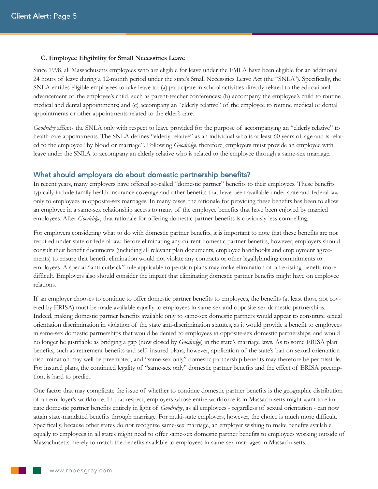#### **C. Employee Eligibility for Small Necessities Leave**

Since 1998, all Massachusetts employees who are eligible for leave under the FMLA have been eligible for an additional 24 hours of leave during a 12-month period under the state's Small Necessities Leave Act (the "SNLA"). Specifically, the SNLA entitles eligible employees to take leave to: (a) participate in school activities directly related to the educational advancement of the employee's child, such as parent-teacher conferences; (b) accompany the employee's child to routine medical and dental appointments; and (c) accompany an "elderly relative" of the employee to routine medical or dental appointments or other appointments related to the elder's care.

*Goodridge* affects the SNLA only with respect to leave provided for the purpose of accompanying an "elderly relative" to health care appointments. The SNLA defines "elderly relative" as an individual who is at least 60 years of age and is related to the employee "by blood or marriage". Following *Goodridge*, therefore, employers must provide an employee with leave under the SNLA to accompany an elderly relative who is related to the employee through a same-sex marriage.

## What should employers do about domestic partnership benefits?

In recent years, many employers have offered so-called "domestic partner" benefits to their employees. These benefits typically include family health insurance coverage and other benefits that have been available under state and federal law only to employees in opposite-sex marriages. In many cases, the rationale for providing these benefits has been to allow an employee in a same-sex relationship access to many of the employee benefits that have been enjoyed by married employees. After *Goodridge*, that rationale for offering domestic partner benefits is obviously less compelling.

For employers considering what to do with domestic partner benefits, it is important to note that these benefits are not required under state or federal law. Before eliminating any current domestic partner benefits, however, employers should consult their benefit documents (including all relevant plan documents, employee handbooks and employment agreements) to ensure that benefit elimination would not violate any contracts or other legallybinding commitments to employees. A special "anti-cutback" rule applicable to pension plans may make elimination of an existing benefit more difficult. Employers also should consider the impact that eliminating domestic partner benefits might have on employee relations.

If an employer chooses to continue to offer domestic partner benefits to employees, the benefits (at least those not covered by ERISA) must be made available equally to employees in same-sex and opposite-sex domestic partnerships. Indeed, making domestic partner benefits available only to same-sex domestic partners would appear to constitute sexual orientation discrimination in violation of the state anti-discrimination statutes, as it would provide a benefit to employees in same-sex domestic partnerships that would be denied to employees in opposite-sex domestic partnerships, and would no longer be justifiable as bridging a gap (now closed by *Goodridge*) in the state's marriage laws. As to some ERISA plan benefits, such as retirement benefits and self- insured plans, however, application of the state's ban on sexual orientation discrimination may well be preempted, and "same-sex only" domestic partnership benefits may therefore be permissible. For insured plans, the continued legality of "same-sex only" domestic partner benefits and the effect of ERISA preemption, is hard to predict.

One factor that may complicate the issue of whether to continue domestic partner benefits is the geographic distribution of an employer's workforce. In that respect, employers whose entire workforce is in Massachusetts might want to eliminate domestic partner benefits entirely in light of *Goodridge*, as all employees - regardless of sexual orientation - can now attain state-mandated benefits through marriage. For multi-state employers, however, the choice is much more difficult. Specifically, because other states do not recognize same-sex marriage, an employer wishing to make benefits available equally to employees in all states might need to offer same-sex domestic partner benefits to employees working outside of Massachusetts merely to match the benefits available to employees in same-sex marriages in Massachusetts.